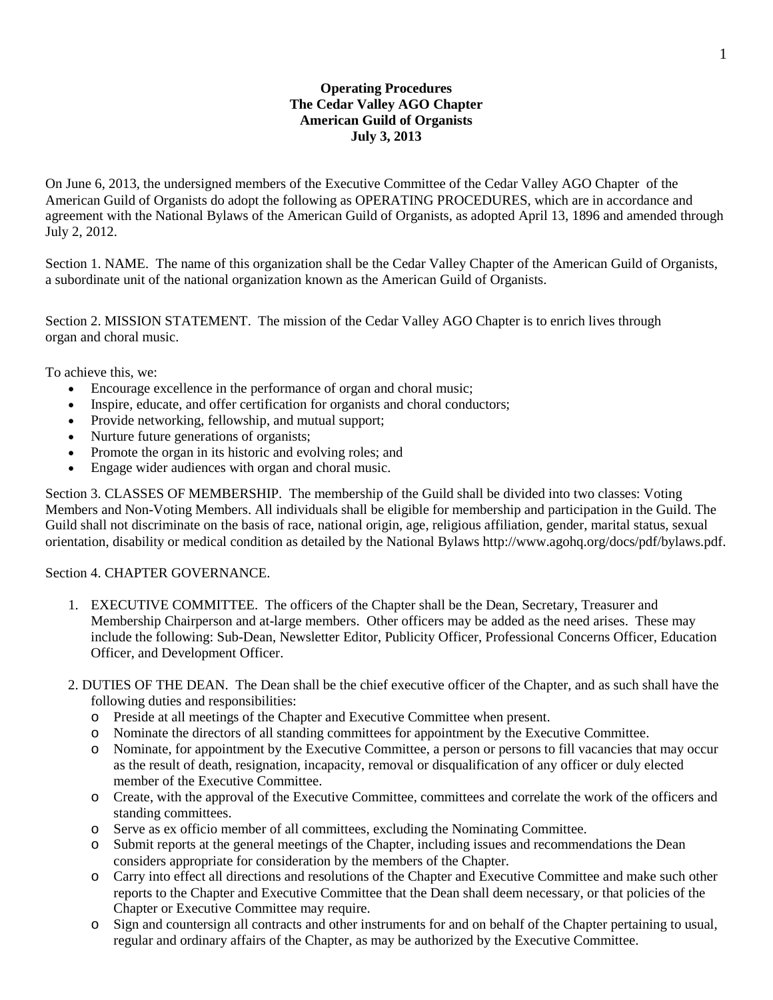# **Operating Procedures The Cedar Valley AGO Chapter American Guild of Organists July 3, 2013**

On June 6, 2013, the undersigned members of the Executive Committee of the Cedar Valley AGO Chapter of the American Guild of Organists do adopt the following as OPERATING PROCEDURES, which are in accordance and agreement with the National Bylaws of the American Guild of Organists, as adopted April 13, 1896 and amended through July 2, 2012.

Section 1. NAME. The name of this organization shall be the Cedar Valley Chapter of the American Guild of Organists, a subordinate unit of the national organization known as the American Guild of Organists.

Section 2. MISSION STATEMENT. The mission of the Cedar Valley AGO Chapter is to enrich lives through organ and choral music.

To achieve this, we:

- Encourage excellence in the performance of organ and choral music;
- Inspire, educate, and offer certification for organists and choral conductors;
- Provide networking, fellowship, and mutual support;
- Nurture future generations of organists;
- Promote the organ in its historic and evolving roles; and
- Engage wider audiences with organ and choral music.

Section 3. CLASSES OF MEMBERSHIP. The membership of the Guild shall be divided into two classes: Voting Members and Non-Voting Members. All individuals shall be eligible for membership and participation in the Guild. The Guild shall not discriminate on the basis of race, national origin, age, religious affiliation, gender, marital status, sexual orientation, disability or medical condition as detailed by the National Bylaws http://www.agohq.org/docs/pdf/bylaws.pdf.

## Section 4. CHAPTER GOVERNANCE.

- 1. EXECUTIVE COMMITTEE. The officers of the Chapter shall be the Dean, Secretary, Treasurer and Membership Chairperson and at-large members. Other officers may be added as the need arises. These may include the following: Sub-Dean, Newsletter Editor, Publicity Officer, Professional Concerns Officer, Education Officer, and Development Officer.
- 2. DUTIES OF THE DEAN. The Dean shall be the chief executive officer of the Chapter, and as such shall have the following duties and responsibilities:
	- o Preside at all meetings of the Chapter and Executive Committee when present.
	- o Nominate the directors of all standing committees for appointment by the Executive Committee.
	- o Nominate, for appointment by the Executive Committee, a person or persons to fill vacancies that may occur as the result of death, resignation, incapacity, removal or disqualification of any officer or duly elected member of the Executive Committee.
	- o Create, with the approval of the Executive Committee, committees and correlate the work of the officers and standing committees.
	- o Serve as ex officio member of all committees, excluding the Nominating Committee.
	- o Submit reports at the general meetings of the Chapter, including issues and recommendations the Dean considers appropriate for consideration by the members of the Chapter.
	- o Carry into effect all directions and resolutions of the Chapter and Executive Committee and make such other reports to the Chapter and Executive Committee that the Dean shall deem necessary, or that policies of the Chapter or Executive Committee may require.
	- o Sign and countersign all contracts and other instruments for and on behalf of the Chapter pertaining to usual, regular and ordinary affairs of the Chapter, as may be authorized by the Executive Committee.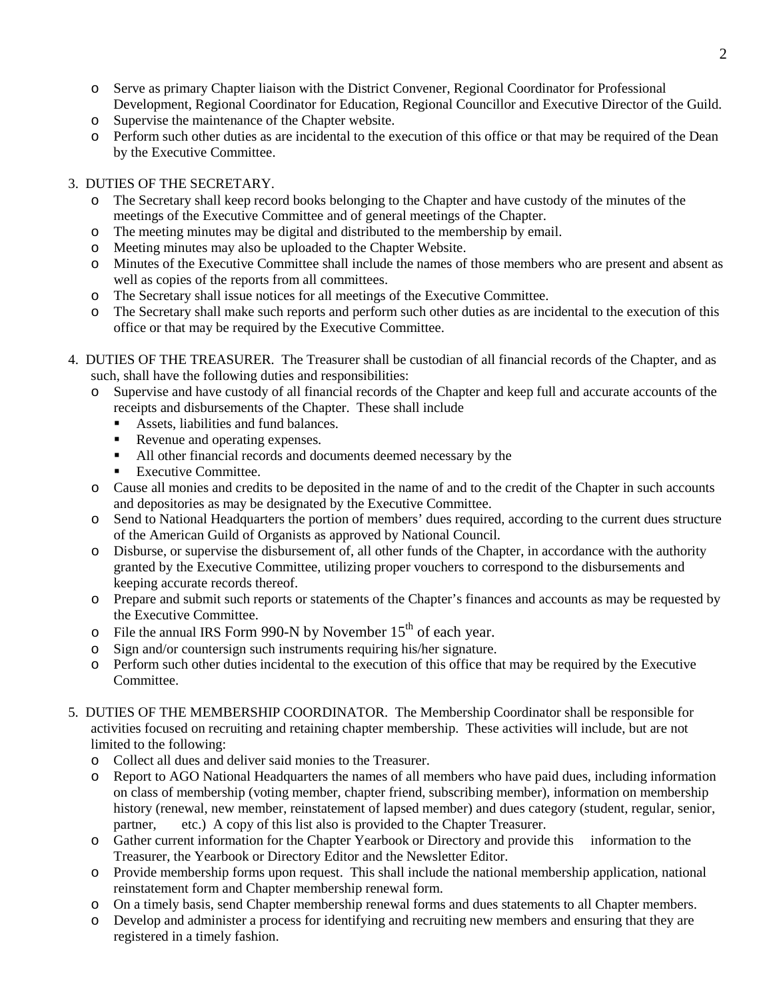- o Serve as primary Chapter liaison with the District Convener, Regional Coordinator for Professional Development, Regional Coordinator for Education, Regional Councillor and Executive Director of the Guild.
- o Supervise the maintenance of the Chapter website.
- o Perform such other duties as are incidental to the execution of this office or that may be required of the Dean by the Executive Committee.

# 3. DUTIES OF THE SECRETARY.

- o The Secretary shall keep record books belonging to the Chapter and have custody of the minutes of the meetings of the Executive Committee and of general meetings of the Chapter.
- o The meeting minutes may be digital and distributed to the membership by email.
- o Meeting minutes may also be uploaded to the Chapter Website.
- o Minutes of the Executive Committee shall include the names of those members who are present and absent as well as copies of the reports from all committees.
- o The Secretary shall issue notices for all meetings of the Executive Committee.
- o The Secretary shall make such reports and perform such other duties as are incidental to the execution of this office or that may be required by the Executive Committee.
- 4. DUTIES OF THE TREASURER. The Treasurer shall be custodian of all financial records of the Chapter, and as such, shall have the following duties and responsibilities:
	- o Supervise and have custody of all financial records of the Chapter and keep full and accurate accounts of the receipts and disbursements of the Chapter. These shall include
		- Assets, liabilities and fund balances.
		- Revenue and operating expenses.
		- All other financial records and documents deemed necessary by the
		- Executive Committee.
	- o Cause all monies and credits to be deposited in the name of and to the credit of the Chapter in such accounts and depositories as may be designated by the Executive Committee.
	- o Send to National Headquarters the portion of members' dues required, according to the current dues structure of the American Guild of Organists as approved by National Council.
	- o Disburse, or supervise the disbursement of, all other funds of the Chapter, in accordance with the authority granted by the Executive Committee, utilizing proper vouchers to correspond to the disbursements and keeping accurate records thereof.
	- o Prepare and submit such reports or statements of the Chapter's finances and accounts as may be requested by the Executive Committee.
	- $\circ$  File the annual IRS Form 990-N by November 15<sup>th</sup> of each year.
	- o Sign and/or countersign such instruments requiring his/her signature.
	- o Perform such other duties incidental to the execution of this office that may be required by the Executive Committee.
- 5. DUTIES OF THE MEMBERSHIP COORDINATOR. The Membership Coordinator shall be responsible for activities focused on recruiting and retaining chapter membership. These activities will include, but are not limited to the following:
	- o Collect all dues and deliver said monies to the Treasurer.
	- o Report to AGO National Headquarters the names of all members who have paid dues, including information on class of membership (voting member, chapter friend, subscribing member), information on membership history (renewal, new member, reinstatement of lapsed member) and dues category (student, regular, senior, partner, etc.) A copy of this list also is provided to the Chapter Treasurer.
	- o Gather current information for the Chapter Yearbook or Directory and provide this information to the Treasurer, the Yearbook or Directory Editor and the Newsletter Editor.
	- o Provide membership forms upon request. This shall include the national membership application, national reinstatement form and Chapter membership renewal form.
	- o On a timely basis, send Chapter membership renewal forms and dues statements to all Chapter members.
	- o Develop and administer a process for identifying and recruiting new members and ensuring that they are registered in a timely fashion.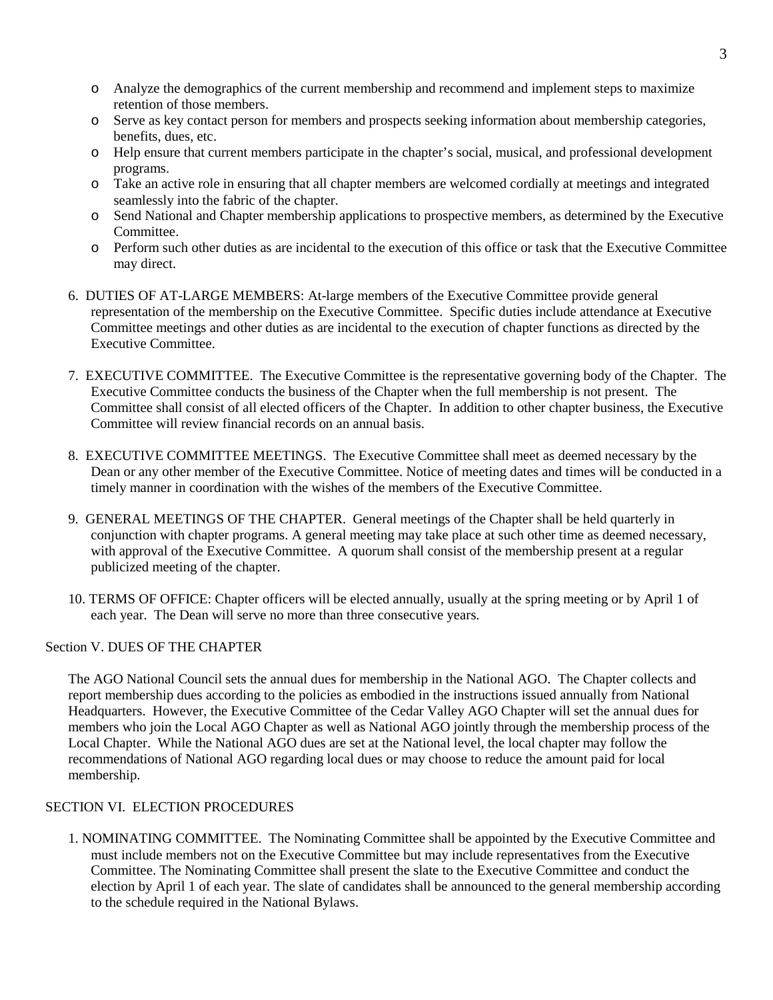- o Analyze the demographics of the current membership and recommend and implement steps to maximize retention of those members.
- o Serve as key contact person for members and prospects seeking information about membership categories, benefits, dues, etc.
- o Help ensure that current members participate in the chapter's social, musical, and professional development programs.
- o Take an active role in ensuring that all chapter members are welcomed cordially at meetings and integrated seamlessly into the fabric of the chapter.
- o Send National and Chapter membership applications to prospective members, as determined by the Executive Committee.
- o Perform such other duties as are incidental to the execution of this office or task that the Executive Committee may direct.
- 6. DUTIES OF AT-LARGE MEMBERS: At-large members of the Executive Committee provide general representation of the membership on the Executive Committee. Specific duties include attendance at Executive Committee meetings and other duties as are incidental to the execution of chapter functions as directed by the Executive Committee.
- 7. EXECUTIVE COMMITTEE. The Executive Committee is the representative governing body of the Chapter. The Executive Committee conducts the business of the Chapter when the full membership is not present. The Committee shall consist of all elected officers of the Chapter. In addition to other chapter business, the Executive Committee will review financial records on an annual basis.
- 8. EXECUTIVE COMMITTEE MEETINGS. The Executive Committee shall meet as deemed necessary by the Dean or any other member of the Executive Committee. Notice of meeting dates and times will be conducted in a timely manner in coordination with the wishes of the members of the Executive Committee.
- 9. GENERAL MEETINGS OF THE CHAPTER. General meetings of the Chapter shall be held quarterly in conjunction with chapter programs. A general meeting may take place at such other time as deemed necessary, with approval of the Executive Committee. A quorum shall consist of the membership present at a regular publicized meeting of the chapter.
- 10. TERMS OF OFFICE: Chapter officers will be elected annually, usually at the spring meeting or by April 1 of each year. The Dean will serve no more than three consecutive years.

## Section V. DUES OF THE CHAPTER

The AGO National Council sets the annual dues for membership in the National AGO. The Chapter collects and report membership dues according to the policies as embodied in the instructions issued annually from National Headquarters. However, the Executive Committee of the Cedar Valley AGO Chapter will set the annual dues for members who join the Local AGO Chapter as well as National AGO jointly through the membership process of the Local Chapter. While the National AGO dues are set at the National level, the local chapter may follow the recommendations of National AGO regarding local dues or may choose to reduce the amount paid for local membership.

## SECTION VI. ELECTION PROCEDURES

1. NOMINATING COMMITTEE. The Nominating Committee shall be appointed by the Executive Committee and must include members not on the Executive Committee but may include representatives from the Executive Committee. The Nominating Committee shall present the slate to the Executive Committee and conduct the election by April 1 of each year. The slate of candidates shall be announced to the general membership according to the schedule required in the National Bylaws.